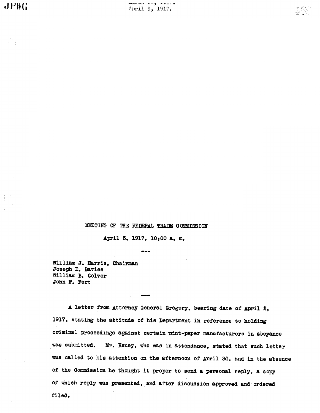MEETING OF THE FEDERAL TRADE COMMISSION

April 3, 1917, 10:00 a. m.

William J. Harris, Chairman Joseph E. Davies William B. Colver John F. Fort

A letter from Attorney General Gregory, bearing date of April 2, 1917, stating the attitude of his Department in reference to holding criminal proceedings against certain print-paper manufacturers in abeyance was submitted. Mr. Heney, who was in attendance, stated that such letter was called to his attention on the afternoon of April 3d, and in the absence of the Commission he thought it proper to send a personal reply, a copy of which reply was presented, and after discussion approved and ordered filed.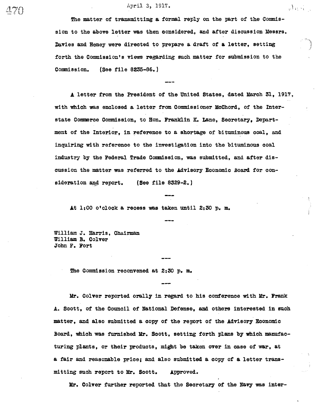#### April 3, 1917.

The matter of transmitting a formal reply on the part of the Commission to the above letter was then considered, and after discussion Messrs. Davies and Heney were directed to prepare a draft of & letter, setting forth the Commission's views regarding such matter for submission to the Commission. (See file 8235-86.)

المتحدة والموالي

A letter from the President of the United States, dated Mach 31, 1917. with which was enclosed a letter from Commissioner McChord, of the Interstate Commerce Commission, to Hon. Franklin K. Lane, Secretary, Department of the Interior, in reference to a shortage of bituminous coal, and inquiring with reference to the investigation into the bituminous coal industry by the Federal Trade Commission, was submitted, and after discussion the matter was referred to the Advisory Economic Board for consideration and report. (See file 8329-2.)

At 1:00 o' clock a recess was taken until 2:30 p. m.

William J. Harris, Chairman William B. COlver John F. Fort

The Commission reconvened at 2:30 p. m.

Mr. Colver reported orally in regard to his conference with Mr. Frank A. Scott, of the Council of National Defense, and others interested in such matter, and also submitted a copy of the report of the Advisory Economic Board, which was furnished Mr. Scott, setting forth plans by which manufacturing plants, or their products, might be taken over in case of war, at a fair and reasouble price; and also submitted a copy of & letter tranmitting such report to Mr. Scott. Approved.

Mr. Colver further reported that the Secretary of the Navy was inter-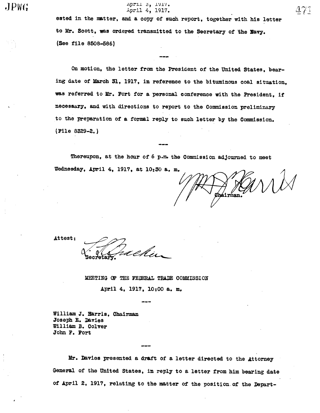# $JPWG$  april 4, 1917.

ested in the matter, and a copy of such report, together with his letter to Mr. Soott, was ordered transmitted to the Secretary of the Davy. (See file 8508-586)

On motion, the letter from the President of the United States, bearing date of Mach 31, 1917, in reference to the bituminous coal situation, was referred to Mr. Fort for a personal conference with the President, if necessary, and with directions to report to the Commission preliminary to the preparation of a formal reply to such letter by the Commission. (File 8329-2.

Thereupon, at the hour of 6 p.m. the Commission adjourned to meet Wednesday, April 4, 1917, at 10:30 a. m.

Attest:

reku

MEETING OF THE FEDERAL TRADE COMMISSION

April 4, 1917, 10:00 a. m.

William J. Harris, Chairman Joseph E. Davies William B. Colver John F. Fort

Mr. Davies presented a draft of a letter directed to the Attorney General of the United States, in reply to a letter from him bearing date of April 2, 1917, relating to the matter of the position. of the Depart-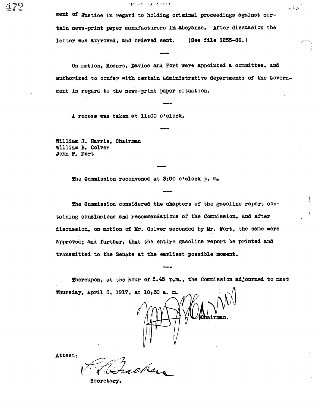ment of Justice in regard to holding criminal proceedings against certain news-print paper manufacturers in abeyance. After discussion the letter was approved, and ordered sent. (See file 8235-86.)

 $\mathcal{L}_{\mathcal{A}}$ 

On motion, Messrs. Davies and Fort were appointed a committee, and authorized to confer with certain administrative departments of the Government in regard to the new-print paper situation.

A recess was taken at 11:00 o' clock.

William J. Barris, Chairma William B. Colver John F. Fort

The Commission reconvened at 3:00 o'clock p. m.

The Commission considered the chapters of the gasoline report containing conclusions and recommendations of the Commission, and after discussion, on motion of Mr. Colver seconded by Mr. Fort, the same were approved; and further, that the entire gasoline report be printed and transmitted to the Senate at the earliest possible moment.

Thereupon, at the hour of 5.45 p.m., the Commission adjourned to meet Thursday, April 5, 1917, at 10:30 a. m.

Attest:

Secretary .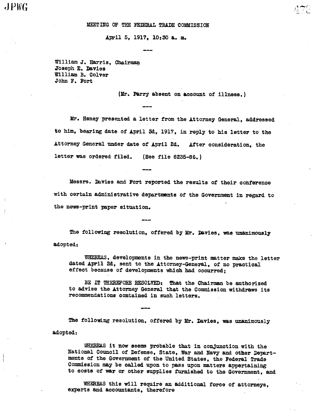$J P W G$ 

#### MEETING OF THE FEDERAL TRADE COMMISSION

April 5, 1917, 10:30 &. m.

William J. Harris, Chai .Joseph E. Davies William B. Colver John F. Fort

(Mr. Parry absent on account of illness.)

 $\in$ 

Mr. Heney presented a letter from the Attorney General, addressed to him, bearing date of April 3d, 1917, in reply to his letter to the Attorney General under date of April 2d. After consideration, the letter was ordered filed. (See file 8235-86.)

Messrs. Davies and Fort reported the results of their conference with certain administrative departments of the Government in regard to the news-print paper situation.

The following resolution, offered by Mr. Davies, was unanimously adopted:

WHEREAS, developments in the news-print matter make the letter dated April 24, sent to the Attorney-General, of no practical effect because of developments which had occurred;

BE IT THEREFORE RESOLVED: That the Chairman be authorized to advise the Attorney General that the Commission withdraws its recommendations contained in such letters.

The following resolution, offered by Mr. Davies, was unanimously adopted:

WHEREAS it now seems probable that in conjunction with the National Council of Defense, State, War and Navy and other Departments of the Government of the United States, the Federal Trade Commission may be called upon to pass upon matters appertaining to costs of war or other supplies furnished to the Government, and

WHEREAS this will require an additional force of attorneys, experts and accountants, therefore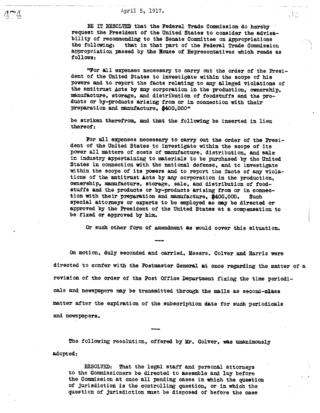# .<br>⊿ 1448 - 1950 - 1950 - 1950 - 1950 - 1950 - 1950 - 1950 - 1950 - 1950 - 1950 - 1950 - 1950 - 1950 - 1950 - 195 April 5, 1917. .. .f

BE IT RESOLVED that the Federal Trade Commission do hereby request the President of the United States to consider the advisability of recommending to the Senate Committee on Appropriations<br>the following: that in that part of the Federal Trade Commission appropriation passed by the Rouse of Representatives which reads as follows:

"For all expenses necessary to carry out the order of the President of the United States to investigate within the scope of his powers and to report the facts relating to any alleged violations of the antitrust Acts by any corporation in the production, ownership, manufacture, storage, and distribution of foodstuffs and the products or by-products arising from or in connection with their preparation and manufacture. \$400,000"

be striken therefrom, and that the following be inserted in lieu thereof:

For all expenses necessary to carry out the order of the President of the United States to investigate within the scope of its power all matters of costs of manufacture, distribution, and sale in industry appertaining to materials to be purchased by the United States in oonnection with the national defense, and to investigate within the scope of its powers and to report the facts of any violations of the antitrust Acts by any corporation in the production, ownership, manufacture, storage, sale, and distribution of foodstuffs and the products or by-products arising from or in connec-<br>tion with their preparation and manufacture, \$400,000. Such special attorneys or experts to be employed as may be directed or approved by the President of the United States at a compenation to be fixed or approved by him.

Or such other form of amendment as would cover this situation.

On motion, duly seconded and carried, Messrs. Colver and Barris were directed to confer with the Postmaster General at once regarding the matter of a revision of the order of the Post Office Department fixing the time periodicals and newspapers may be transmitted through the mails as second-class matter after the expiration of the subscription date for such periodicals and newspapers.

The following resolution, offered by Mr. Colver, was unanimously adopted:

RESOLVED: That the legal staff and personal attorneys to the Commissioners be directed to assemble and lay before the Commission at once all pending cases in which the question of jurisdiction is the controlling question, or in which the question of jurisdiction must be disposed of before the case

- J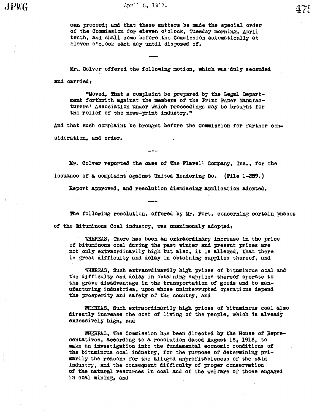can proceed; and that these matters be made the special order of the Commission for eleven o'clock, Tuesday morning, April tenth, and shall come before the Commission automatically at eleven o'clock each day until disposed of.

Mr. Colver offered the following motion, which was duly seconded and carried:

"Moved, That a complaint be prepared by the Legal Department forthwith against the members of the Print Paper Manufacturers' Association under which proceedings may be brought for the relief of the news-print industry."

And that such complaint be brought before the Commission for further consideration, and order.

Mr. Colver reported the case of The Flavell Company, Inc., for the issuace of a complaint against United Rendering Co. (Pile 1-259.

Report appoved, and resolution dismissing application adopted.

The following resolution, offered by Mr. Fort, concerning certain phases of the Bituminous Coal industry, was unanimously adopted:

WHEREAS, There has been an extraordinary increase in the price of bituminous coal during the past winter and present prices are not only extraordinarily high but also, it is alleged, that there is great difficulty and delay in obtaining supplies thereof, and

WHEREAS, Such extraordinarily high prices of bituminous coal and the difficulty and delay in obtaining supplies thereof operate to the grave disadvantage in the transportation of goods and to manufacturing industries, upon whose uninterrupted operations depend the prosperity and safety of the country, and

WHEREAS, Such extraordinarily high prices of bituminous coal also directly increase the cost of living of the people, which is already excessi vely high, and

WHEREAS, The Commission has been directed by the House of Representatives, according to a resolution dated August 18, 1916, to make an investigation into the fundamental economic conditions of the bituminous coal industry, for the purpose of determining primarily. the reasons for the allegd unprofitab1eness of the said industry, and the consequent difficulty of proper conservation of the natural resources in coal and of the welfare of those engaged in coal mining, and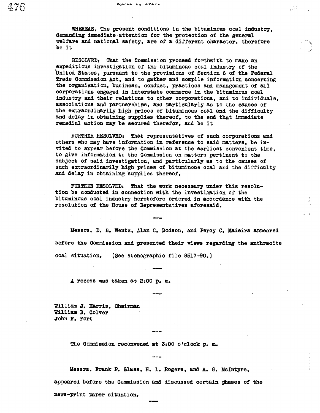WHEREAS, The present conditions in the bituminous coal industry, demanding immediate attention for the protection of the general welfare and national safety, are of a different character, therefore be it

글도

RESOLVED: That the Commission proceed forthwith to make an expeditious investigation of the bituminous coal industry of the United States, pursuant to the provisions of Section 6 of the Federal Trade Commission Act, and to gather and compile information concerning the organization, business, conduct, practices and management of all corporations engged in interstate oommerce in the bituminous coal industry and their relations to other corporations, and to individuals, associations and partnerships, and paticularly as to the causes of the extraordinarily high prices of bituminous coal and the difficulty and delay in obtaining supplies thereof, to the end that immediate remedial action may be secured therefor. and be it

FURTHER RESOLVED: That representatives of such corporations and others who may have information in reference to said matters, be invited to appear before the Commission at the earliest convenient time. to give information to the Commission on matters pertinent to the subject of said investigation, and particularly as to the oauses of such extraordinarily high prices of bituminous coal and the difficulty and delay in obtaining supplies thereof.

FURTHER RESOLVED: That the work necessary under this resolution be conducted in connection with the investigation of the bi tuminous ooal industry heretofore ordered in accordance with the resolution of the Bouse of Representatives aforesaid.

Messrs. D. 13. Wentz, Alan C. Dodson, and Percy C. Madeira appeared before the Commission and presented their views regarding the anthracite coal situation. (See stenographic file 8517-90.)

 $A$  recess was taken at  $2:00$  p. m.

William J. Harris, Chairman William B. Colver John F. Fort

The Commission reconvened at 3:00 o'clock p. m.

Messrs. Frank P. Glass, H. L. Rogers, and A. G. McIntyre. appeared before the Commission and discussed certain phases of the news-print paper situation.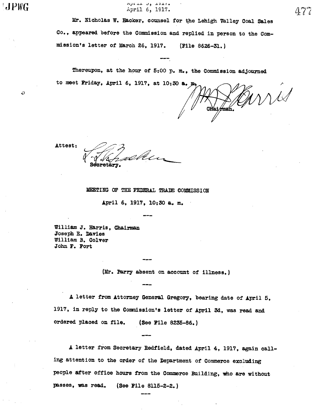$JPWG$ 

D

nprui 9, 1917. April 6, 1917.

Mr. Nicholas W. Hacker, counsel for the Lehigh Valley Coal Sales Co., appeared before the Commission and replied in person to the Commission's letter of March 26, 1917. (File 8626-31.)

Thereupon, at the hour of  $5:00$  p. m., the Commission adjourned to meet Friday, April 6, 1917, at 10:30 a.

Will

Attest:

v0bt (s Secretary.

#### MEETING OF THE FEDERAL TRADE COMMISSION

April 6, 1917, 10:30 &. m.

William J. Harris, Chairman Joseph E. Davies William B. Colver John F. Fort

(Mr. Pary absent on account of illness.

A letter from Attorney General Gregory, bearing date of April 5, 1917, in reply to the Commission's letter of April 3d, was read and ordered placed on file. (See File 8235-86.

A letter from Secretary Redfield, dated April 4, 1917, again calling attention to the order of the Department of Commerce excluding people after office hours from the Commerce Building, who are without passes, was read. (See File 8115-2-2.)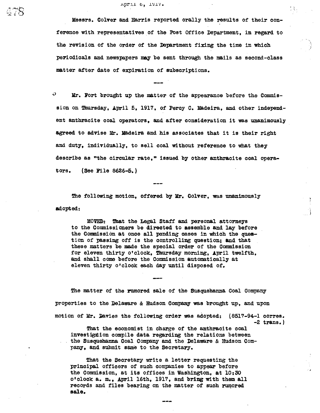#### April 0, 1917.

 $478$ 

Messrs. Colver and Barris reported orally the results of their conference with representatives of the Post Office Department, in regard to the revision of the order of the Department fixing the time in which periodicals and newspapers may be sent through the mails as second-class matter after date of expiration of subscriptions.

 $\boldsymbol{\omega}$ Mr. Fort brought up the matter of the appearance before the Commission on Thursday, April 5, 1917, of Percy C. Madeira, and other independent anthracite coal operators, and after consideration it was unanimously agreed to advise Mr. Madeira and his associates that it is their right and duty, individually, to sell coal without reference to what they describe as "the circular rate," issued by other anthracite coal operators.  $(See File 8626-5.)$ 

The following motion, offered by Mr. Colver, was unanimously adopted:

MOVED: That the Legal Staff and personal attorneys to the Commissioners be directed to assemble and law before the Commission at once all pending cases in which the question of passing off is the controlling question; and that these matters be made the special order of the Commission for eleven thirty o'clock, Thursday morning, April twelfth, and shall come before the Commission automatically at eleven thirty o'clock each day until disposed of.

The matter of the rumored sale of the Susquehanna Coal Company properties to the Delaware & Hudson Company was brought up, and upon motion of Mr. Davies the following order was adopted: (8517-94-1 corres. 2 trans. Tht the economist in charge of the anthracite coal

investigtion compile data regarding the relations between the Susquehanna Coal Company and the Delaware & Hudson Company, and submit same to the Secretary.

That the Secretary write a letter requesting the principal officers of such companies to appear before the Commission, at its offices in Washington, at 10:30 o'clock a. m., April 16th, 1917, and bring with them all records and files bearing on the matter of such rumored sale.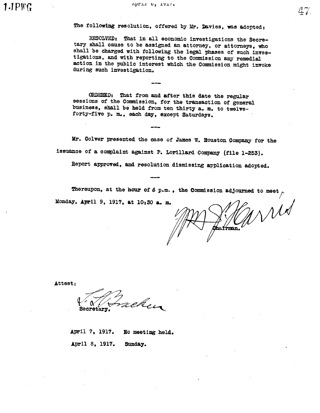April o, ISI7.

The following resolution, offered by Mr. Davies, was adopted:

RESOLVED: That in all economic investigations the Secre-<br>tary shall cause to be assigned an attorney, or attorneys, who shall be charged with following the legal phases of such inves-<br>tigations, and with reporting to the Commission any remedial action in the public interest which the Commission might invoke during such investigation.

ORDERED: That from and after this date the regular sessions of the Commission, for the transaction of general business, shall be held from ten thirty a. m. to twelveforty-five p. m., each day, except Saturdays.

Mr. Colver presented the case of James W. Houston Company for the issuance of a complaint against P. Lorillard Company (file 1-253).

Report approved, and resolution dismissing application adopted.

Thereupon, at the hour of  $6$  p.m., the Commission adjourned to meet Monday, April 9, 1917, at 10:30 a. m.

rid men.

 $\mathbb{Z}$   $\leftarrow$ 

Attest:

achen Secretary.

April 7, 1917. No meeting held. April 8, 1917. Suday.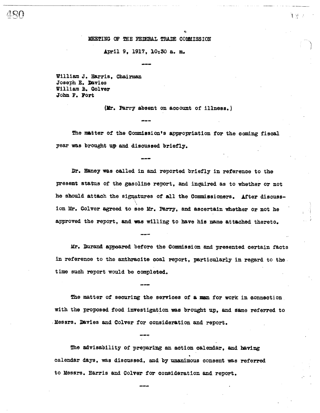#### MEETING OF THE FEDERAL TRADE COMMISSION

#### April 9, 1917, 10:30 a. m.

William J. Harris, Chairman Joseph E. Davies William B. Colver John F. Fort

(Mr. Parry absent on account of illness.)

The matter of the Commission's appropriation for the coming fiscal year was brought up and discussed briefly.

Dr. Haney was called in and reported briefly in reference to the present status of the gasoline report, and inquired as to whether or not he should attach the signatures of all the Commissioners. After discussion Mr. Colver agreed to see Mr. Parry, and ascertain whether or not he approved the report, and was willing to have his name attached thereto.

Mr. Durand appeared before the Commission and presented certain facts in reference to the anthracite coal report, particularly in regard to the time such report would be completed.

The matter of securing the services of a man for work in connection with the proposed food investigation was brought up, and same referred to Messrs. Davies and Colver for consideration and report.

The advisability of preparing an action calendar, and having calendar days, was discussed, and by unanimous consent was referred to Messrs. Harris and Colver for consideration and report.

 $\frac{1}{2}$   $\sqrt{3}$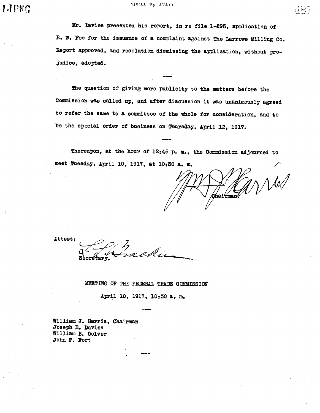April 7, 1917.

Mr. Davies presented his report, in re file 1-295, application of E. W. Fee for the issuance of a complaint against The Larrowe Milling Co. Beport approved, and resolution dismissing the application, without prejudice, adopted.

The question of giving more publicity to the matters before the Commission was called up, and after discussion it was unanimously agreed to refer the same to a commttee of the whole for consideration, and to be the special order of business on Thursday, April 12, 1917.

Thereupon, at the hour of 12:45 p. m., the Commission adjourned to meet Tuesday, April 10, 1917, at 10:30 a. m.

 $M$  ${\tt Chal'fman'}$ 

Attest:

rekin

MEETING OF THE FELERAL TRADE COMMISSION

April 10, 1917, 10:30 a. m.

William J. Harris, Chairman Joseph E. Davies William B. Oolver John F. Fort

 $\mathcal{L} \mathcal{R}$  .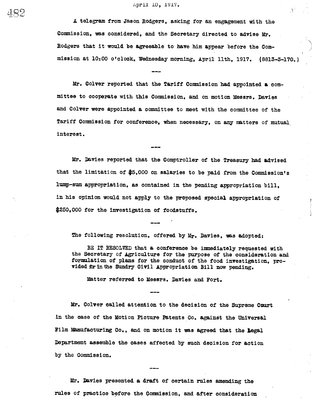April 10, 1917.

A telegram from Jason Rodgers , aSking for an enggement with the Commission, was considered, and the Secretary directed to advise Mr. Rodgers that it would be agreeable to have him appear before the Commission at 10:00 o' clock, Wednesday morning, April 11th, 1917. (8813-3-170. )

Mr. Colver reported that the Tariff Commission had appointed a committee to cooperate with this Commission, and on motion Messrs. Davies and Colver were appointed a committee to meet with the committee of the Tariff Commission for conference, when necessary, on any matters of mutual interest.

Mr. Davies reported that the Comptroller of the Treasury had advised that the limitation of  $$5,000$  on salaries to be paid from the Commission's lum-sum appropriation, as contained in the pending appropriation bill, in his opinion would not apply to the proposed special appropriation of \$250,000 for the investigation of foodstuffs.

The following resolution, offered by Mr. Davies, was adopted:

BE IT RESOLVED that a conference be immediately requested with the Secretary of Agriculture for the purpose of the consideration and formulation of plans for the conduct of the food investigation, provided for in the Sundry Civil Appropriation Bill now pending.

Matter referred to Messrs. Davies and Fort.

Mr. Colver called attention to the decision of the Supreme Court in the case of the Motion Picture Patents Co. against the Universal Film Manufacturing Co., and on motion it was agreed that the legal Department assemble the cases affected by such decision for action by the Commission.

Mr. Davies presented a draft of certain rules amending the rules of practice before the Commission, and after consideration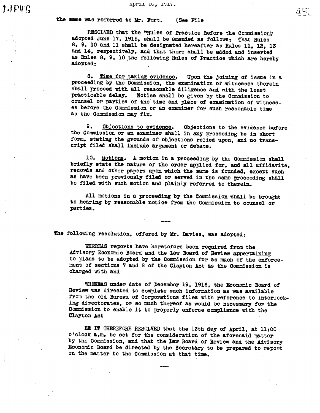the same was referred to Mr. Fort. (See File

RESOLVED that the "Rules of Practice Before the Commission." adopted June 17, 1915, shall be amended as follows: That Rules  $8, 9, 10$  and 11 shall be designated hereafter as Rules 11, 12, 13 and 14, respectively, and that there shall be added and inserted as Rules 8, 9, 10 the following Rules of Practice which are hereby adopted:

8. Time for taking evidence. Upon the joining of issue in a proceeding by the Commission, the examination of witnesses therein shall proceed with all reasonable diligence and with the least practicable delay. Notice shall be given by the Commission to counsel or parties of the time and place of examination of witnesses before the Commission or an examiner for such reasonable time<br>as the Commission may fix.

9. Objections to evidence. Objections to the evidence before the Commission or an examiner shall in any proceeding be in short form, stating the grounds of objections relied upon, and no trans-<br>cript filed shall include argument or debate.

10. Motions. A motion in a proceeding by the Commission shall briefly state the nature of the order applied for, and all affidavits, records and other papers upon which the same is founded, except such as have been previously filed or served in the same proceeding shall be filed with such motion and plainly referred to therein.

All motions in a proceeding by the Commission shall be brought to hearing by reasonable notioe from the Commission to cousel parties.

The following resolution, offered by Mr. Davies, was adopted:

WHEREAS reports have heretofore been required from the Advisory Economic Board and the Law Board of Review appertaining to plans to be adopted by the Commission for as much of the enforcement of sections 7 and 8 of the Clayton Act as the Commission is charged with and

WHEREAS under date of December 19, 1916, the Economic Board of Review was directed to complete such information as was available from the old Bureau of Corporations files with reference to interlocking directorates, or so much thereof as would be necessary for the Commission to enable it to properly enforce compliance with the Clayton Act

BE IT THEREFORE RESOLVED that the 13th day of April, at 11:00 o'clock a.m. be set for the consideration of the aforesaid matter by the Commission, and that the Law Board of Review and the Advisory Economic Board be directed by the Secretary to be prepared to report on the matter to the Commission at that time.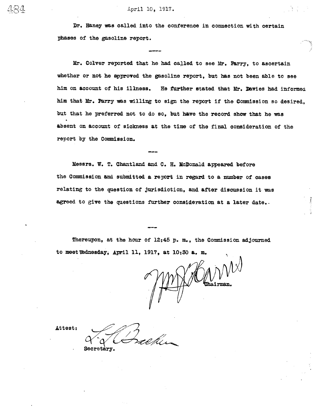Dr. Haney was called into the conference in connection with certain Pbses of the gasoline report.

Mr. Colver reported that he had called to see Mr. Parry, to ascertain whether or not he approved the gasoline report, but has not been able to see him on account of his illness. He further stated that Mr. Davies had informed him that Mr. Parry was willing to sign the report if the Comnission so desired, but that he preferred not to do so, but have the record show that he was absent on account of sickness at the time of the final consideration of the report by the Commission.

Messrs. W. T. Chantland and C. H. McDonald appeared before the Commission and submitted a report in regard to a number of cases relating to the question of jurisdiction, and after discussion it was agreed to give the questions further consideration at a later date..

Thereupon, at the hour of  $12:45$  p.m., the Commission adjourned to meet Wednesday; April 11, 1917, at  $10:30$  a. m.

Attest:

Secretary.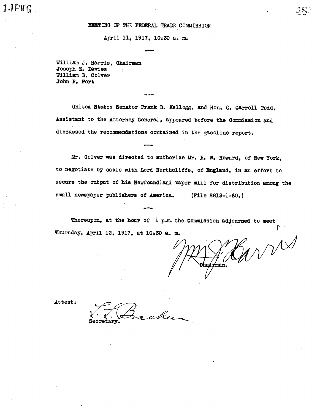$PFG$  and  $485$ 

#### MEETING OF THE FEDERAL TRADE COMMISSION

April 11, 1917, 10:30 a. m.

William J. Harris, Chairman Joseph E. Davies  $\cdot$ William B. Colver John F. Port

United States Senator Frank B. Kellogg, and Hon. G. Carroll Todd, Assistant to the Attorney General, appeared before the Commission and discussed the recommendations contained in the gasoline report.

Mr. Colver was directed to authorize Mr. R. W. Howard, of New York. to negotiate by cable with Lord Northcliffe, of England, in an effort to secure the output of his Newfoundland paper mill for distribution among the small newspaper publishers of America. (File 8813-1-60.)

Thereupon, at the hour of  $1$  p.m. the Commission adjourned to meet Thursday, April 12, 1917, at 10:30 &. m.

WVW rman.

Attest:

chen Secretary.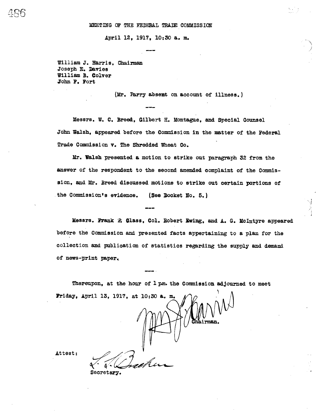April 12, 1917, 10:30 a. m.

William J. Harris, Chairman Joseph E. Davies William B. Colver John F. Fort

 $106$ 

(Mr. Parry absent on account of illness.)

Messrs. W. C. Breed, Gilbert H. Montague, and Special Counsel John Walsh, appeared before the Commission in the matter of the Federal Trade Commission v. The Shredded Wheat Co.

Mr. Walsh presented a motion to strike out paragraph 32 from the answer of the respondent to the second amended complaint of the Commission, and Mr. Breed discussed motions to strike out certain portions of the Commission's evidence. (See Docket No. 5.)

Messrs. Frank 'P. Glass, Col. Robert Ewing, and A. G. McIntyre appeared before the Commission and presented facts appertaining to a plan for the collection and publication of statistics regarding the supply and demand of news-print paper.

Thereupon, at the hour of 1 pm. the Commission adjourned to meet Friday, April 13, 1917, at 10:30 a. m.

.<br>Ai<del>r</del>man Secretary.

Attest: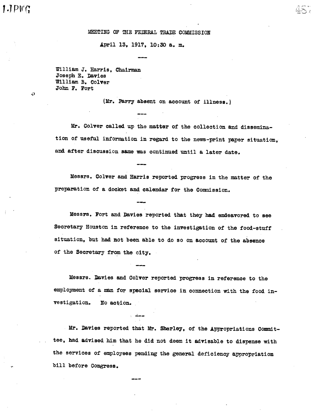O

## MEETING OF THE FEDERAL TRADE COMMISSION

April 13, 1917, 10:30 a. m.

William J. Harris, Chairman Joseph E. Davies William B. Colver John F. Fort

(Mr. Parry absent on account of illness.

Mr. Colver called up the matter of the collection and dissemination of useful information in regard to the news-print paper situation, and after discussion same was continued until a later date.

Messrs. Colver and Harris reported progress in the matter of the preparation of a docket and calendar for the Commission.

Messrs. Fort and Davies reported that they had endeavored to see Secretary Houston in reference to the investigation of the food-stuff situation, but had not been able to do so on account of the absence of the Secretary from the city.

Messrs. Davies and Colver reported progress in reference to the employment of a man for special service in connection with the food investigation. No action.

Mr. Davies reported that Mr. Sherley, of the Appropriations Committee, had advised him that he did not deem it advisable to dispense with the services of employees pending the general deficiency appropriation bill before Congress.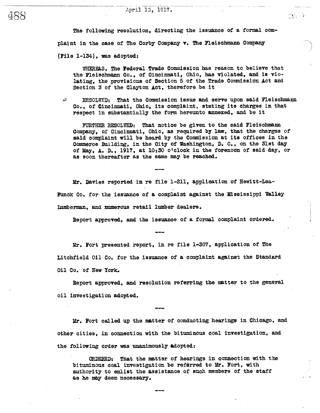The following resolution. directing the issuance of a formal complaint in the case of The Corby Company v. The Fleischmann Company (File 1-134), was adopted:

WHEREAS, The Federal Trade Commission has reason to believe that the Fleischmann Co., of Cincinnati, Ohio, has violated, and is violating, the provisions of Section 5 of the Trade Commission Act and Seotion 3 of the Clayton Act, therefore be it

 $\mathbb{C}^{\mathbb{C}}$  ,  $\mathbb{C}^{\mathbb{C}}$ 

D. RESOLVED: That the Commission issue and serve upon said Fleischmann Co., of Cincinnti, Ohio, its complaint, stating its charges in that respect in substantially the form hereunto annexed, and be it

FURTHER RESOLVED: That notice be given to the said Fleischmann Company, of Cincinnati, Ohio, as required by law, that the charges of said complaint will be heard by the Commission at its offices in the Commerce Building, in the City of Washington, D. C., on the 31st day of May, A. D., 1917, at 10:30 o' clock in the forenoon of said day, or as soon thereafter as the same may be reached.

Mr. Davies reported in re file 1-211, application of Hewitt-Lea-Puck Co. for the issuance of a oomplaint against the Mississippi Valley Iumberman, and numerous retail lumber dealers.

Report approved, and the issuance of a formal complaint ordered.

Mr. Fort presented report, in re file 1-307, applioation of The Litchfield Oil Co. for the issuance of a complaint against the Standard Oil Co. of New York.

Report approved, and resolution referring the matter to the general oil investigation adopted.

Mr. Fort called up the matter of conduoting hearing in Chicago, and other cities, in connection with the bituminous coal investigation, and the following order was unanimously adopted:

ORDERED: That the matter of hearings in connection with the bituminous coal investigation be referred to Mr. Fort, with authority to enlist the assistance of such members of the staff as he may deem necessary.

488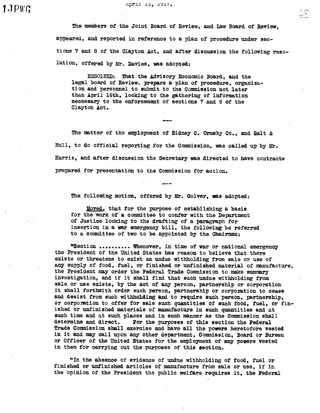April 13, 1917.

The members of the Joint Board of Review, and Law Board of Review, appeared, and reported in reference to a plan of prooedure under seotions 7 and 8 of the Clayton Act, and after discussion the following resolution, offered by Mr. Davies, was adopted:

 $\ldots$ 

RESOLVED: That the Advisory Economic Board, and the legal board of Review, prepare a plan of procedure, organization and personnel to submit to the Commission not later than April 16th, looking to the gathering of information necessary to the enforcement of sections 7 and 8 of the Clayt on Act.

The matter of the employment of Sidney C. Ormsby Co., and Galt &: Hull, to do official reporting for the Comission, was called up by Mr. Barris, and after discussion the Secretary was directed to have oontracts prepared for presentation to the Commission for aotion.

The following motion, offered by Mr. Colver, was adopted:

Moved, that for the pupose of establishing a basis for the work of a committee to confer with the Department of Justice looking to the drafting of a paragraph for insertion in a war emergency bill, the following be referred to a committee of two to be appointed by the Chairman:

"Section .......... Whenever, in time of war or national emergency the President of the United States has reason to believe that there exists or threatens to exist an undue withholding from sale or use of any supply of food, fuel, or finished or unfinished material of manufacture. the President may order the Federal Trade Commission to make summary investigation, and if it shall find that such undue withholding from sale or use exists, by the act of any person, partnership or corporation it shall forthwith order such person, partnership or corporation to cease and desist from such withholding and to require such person, partnership, or corporation to offer for sale such quantities of such food, fuel, or fin-<br>ished or unfinished materials of manufacture in such quantities and at such time and at such places and in such manner as the Commission shall determine and direct. For the purposes of this section the Federal For the purposes of this section the Federal Trade Commission shall exercise and have all the powers heretofore vested in it and may call upon any other department, Commission, Board or Bureau or Officer of the United States for the employment of any powers vested in them for carying out the puposes of this section.

"In the absence of evidence of undue withholding of food, fuel or finished or unfinished articles of manufacture from sale or use, if in the opinion of the President the public welfare requires it, the Federal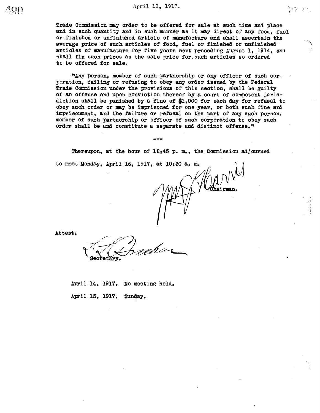Trade Commission may order to be offered for sale at such time and place and in such quantity and in such manner as it may direct of any food, fuel or finished or unfinished article of manufacture and shall ascertain the average price of such articles of food, fuel or finished or unfinished articles of manufacture for five years next preceding August 1. 1914. and shall fix such prices as the sale price for such articles so ordered to be offered for sale.

"Any person, member of such partnership or any officer of such corporation, failing or refusing to obey any order issued by the Federal Trade Commission under the provisions of this section, shall be guilty of an offense and upon conviction thereof by a court of competent jurisdiction shall be punished by a fine of \$1.000 for each day for refusal to obey such order or may be imprisoned for one year, or both such fine and imprisonment, and the failure or refusal on the part of any such person, member of such partnership or officer of such corporation to obey such order shall be and constitute a separate and distinct offense."

Thereupon, at the hour of 12:45 p. m., the Commission adjourned

Attest:

to meet Monday, April 16, 1917, at 10:30 a. m.

April 14, 1917. No meeting held. April 15, 1917. Sunday.

18第2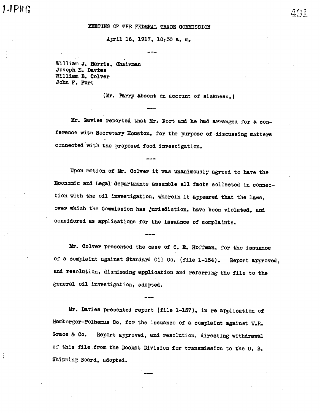## MEETING OF THE FEDERAL TRADE COMMISSION

#### April 16, 1917, 10:30 a. m.

William J. Harris, Chairman Joseph E. Davies William B. Colver Jobn F. Fort

(Mr. Parry absent on account of sickness.

Mr. Davies reported that Mr. Fort and he had arranged for a conference with Secretary Houston, for the purpose of discussing matters connected with the proposed food investigation.

Upon motion of Mr. Colver it was unanimously agreed to have the Economic and Legal departments assemble all facts collected in connection with the oil investigation, wherein it appeared that the laws, over which the Commission has jurisdiction, have been violated, and considered as applications for the issunce of complaints.

Mr. Colver presented the case of C. E. Hoffman, for the issuance of a complaint against Standard 011 Co. (file 1-154). Report approved, and resolution, dismissing application and referring the file to the general oil investigation, adopted.

Mr. Davies presented report (file 1-157), in re application of Hamberger-Polhemus Co. for the issuance of a complaint against W.R. Grace & Co. Report approved, and resolution, directing withdrawal of this file from the Docket Division for transmission to the U.S. Shipping Board, adopted.